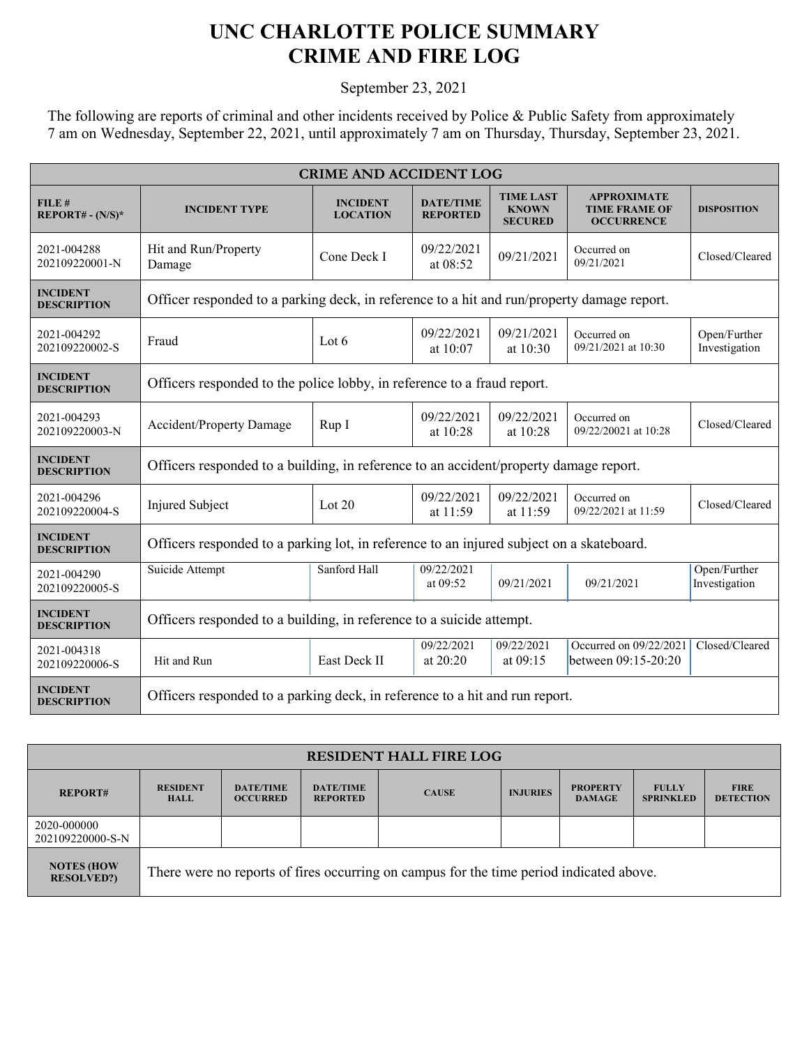## **UNC CHARLOTTE POLICE SUMMARY CRIME AND FIRE LOG**

September 23, 2021

The following are reports of criminal and other incidents received by Police & Public Safety from approximately 7 am on Wednesday, September 22, 2021, until approximately 7 am on Thursday, Thursday, September 23, 2021.

| <b>CRIME AND ACCIDENT LOG</b>         |                                                                                            |                                    |                                     |                                                    |                                                                 |                               |  |
|---------------------------------------|--------------------------------------------------------------------------------------------|------------------------------------|-------------------------------------|----------------------------------------------------|-----------------------------------------------------------------|-------------------------------|--|
| FILE#<br>$REPORT# - (N/S)*$           | <b>INCIDENT TYPE</b>                                                                       | <b>INCIDENT</b><br><b>LOCATION</b> | <b>DATE/TIME</b><br><b>REPORTED</b> | <b>TIME LAST</b><br><b>KNOWN</b><br><b>SECURED</b> | <b>APPROXIMATE</b><br><b>TIME FRAME OF</b><br><b>OCCURRENCE</b> | <b>DISPOSITION</b>            |  |
| 2021-004288<br>202109220001-N         | Hit and Run/Property<br>Damage                                                             | Cone Deck I                        | 09/22/2021<br>at 08:52              | 09/21/2021                                         | Occurred on<br>09/21/2021                                       | Closed/Cleared                |  |
| <b>INCIDENT</b><br><b>DESCRIPTION</b> | Officer responded to a parking deck, in reference to a hit and run/property damage report. |                                    |                                     |                                                    |                                                                 |                               |  |
| 2021-004292<br>202109220002-S         | Fraud                                                                                      | Lot 6                              | 09/22/2021<br>at 10:07              | 09/21/2021<br>at 10:30                             | Occurred on<br>09/21/2021 at 10:30                              | Open/Further<br>Investigation |  |
| <b>INCIDENT</b><br><b>DESCRIPTION</b> | Officers responded to the police lobby, in reference to a fraud report.                    |                                    |                                     |                                                    |                                                                 |                               |  |
| 2021-004293<br>202109220003-N         | <b>Accident/Property Damage</b>                                                            | Rup I                              | 09/22/2021<br>at 10:28              | 09/22/2021<br>at 10:28                             | Occurred on<br>09/22/20021 at 10:28                             | Closed/Cleared                |  |
| <b>INCIDENT</b><br><b>DESCRIPTION</b> | Officers responded to a building, in reference to an accident/property damage report.      |                                    |                                     |                                                    |                                                                 |                               |  |
| 2021-004296<br>202109220004-S         | Injured Subject                                                                            | Lot $20$                           | 09/22/2021<br>at $11:59$            | 09/22/2021<br>at 11:59                             | Occurred on<br>09/22/2021 at 11:59                              | Closed/Cleared                |  |
| <b>INCIDENT</b><br><b>DESCRIPTION</b> | Officers responded to a parking lot, in reference to an injured subject on a skateboard.   |                                    |                                     |                                                    |                                                                 |                               |  |
| 2021-004290<br>202109220005-S         | Suicide Attempt                                                                            | Sanford Hall                       | 09/22/2021<br>at 09:52              | 09/21/2021                                         | 09/21/2021                                                      | Open/Further<br>Investigation |  |
| <b>INCIDENT</b><br><b>DESCRIPTION</b> | Officers responded to a building, in reference to a suicide attempt.                       |                                    |                                     |                                                    |                                                                 |                               |  |
| 2021-004318<br>202109220006-S         | Hit and Run                                                                                | East Deck II                       | 09/22/2021<br>at $20:20$            | 09/22/2021<br>at $09:15$                           | Occurred on 09/22/2021<br>between 09:15-20:20                   | Closed/Cleared                |  |
| <b>INCIDENT</b><br><b>DESCRIPTION</b> | Officers responded to a parking deck, in reference to a hit and run report.                |                                    |                                     |                                                    |                                                                 |                               |  |

| <b>RESIDENT HALL FIRE LOG</b>          |                                                                                         |                                     |                                     |              |                 |                                  |                                  |                                 |
|----------------------------------------|-----------------------------------------------------------------------------------------|-------------------------------------|-------------------------------------|--------------|-----------------|----------------------------------|----------------------------------|---------------------------------|
| <b>REPORT#</b>                         | <b>RESIDENT</b><br><b>HALL</b>                                                          | <b>DATE/TIME</b><br><b>OCCURRED</b> | <b>DATE/TIME</b><br><b>REPORTED</b> | <b>CAUSE</b> | <b>INJURIES</b> | <b>PROPERTY</b><br><b>DAMAGE</b> | <b>FULLY</b><br><b>SPRINKLED</b> | <b>FIRE</b><br><b>DETECTION</b> |
| 2020-000000<br>202109220000-S-N        |                                                                                         |                                     |                                     |              |                 |                                  |                                  |                                 |
| <b>NOTES (HOW</b><br><b>RESOLVED?)</b> | There were no reports of fires occurring on campus for the time period indicated above. |                                     |                                     |              |                 |                                  |                                  |                                 |